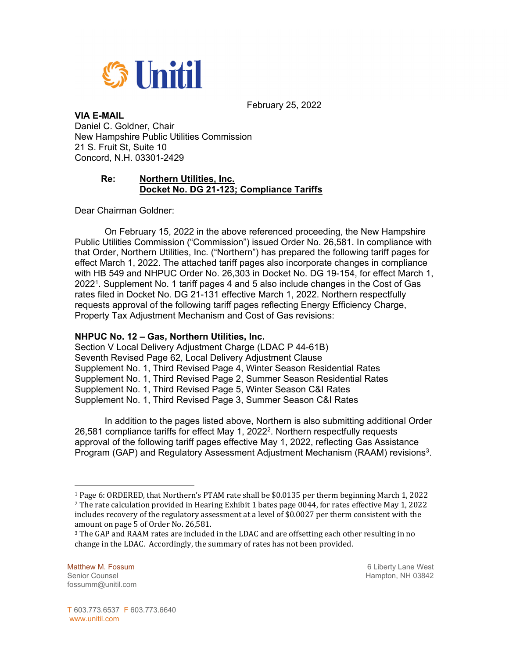

February 25, 2022

## **VIA E-MAIL**

Daniel C. Goldner, Chair New Hampshire Public Utilities Commission 21 S. Fruit St, Suite 10 Concord, N.H. 03301-2429

## **Re: Northern Utilities, Inc. Docket No. DG 21-123; Compliance Tariffs**

Dear Chairman Goldner:

 On February 15, 2022 in the above referenced proceeding, the New Hampshire Public Utilities Commission ("Commission") issued Order No. 26,581. In compliance with that Order, Northern Utilities, Inc. ("Northern") has prepared the following tariff pages for effect March 1, 2022. The attached tariff pages also incorporate changes in compliance with HB 549 and NHPUC Order No. 26,303 in Docket No. DG 19-154, for effect March 1, 2022<sup>1</sup>. Supplement No. 1 tariff pages 4 and 5 also include changes in the Cost of Gas rates filed in Docket No. DG 21-131 effective March 1, 2022. Northern respectfully requests approval of the following tariff pages reflecting Energy Efficiency Charge, Property Tax Adjustment Mechanism and Cost of Gas revisions:

## **NHPUC No. 12 – Gas, Northern Utilities, Inc.**

Section V Local Delivery Adjustment Charge (LDAC P 44-61B) Seventh Revised Page 62, Local Delivery Adjustment Clause Supplement No. 1, Third Revised Page 4, Winter Season Residential Rates Supplement No. 1, Third Revised Page 2, Summer Season Residential Rates Supplement No. 1, Third Revised Page 5, Winter Season C&I Rates Supplement No. 1, Third Revised Page 3, Summer Season C&I Rates

 In addition to the pages listed above, Northern is also submitting additional Order 26,581 compliance tariffs for effect May 1, 2022<sup>2</sup>. Northern respectfully requests approval of the following tariff pages effective May 1, 2022, reflecting Gas Assistance Program (GAP) and Regulatory Assessment Adjustment Mechanism (RAAM) revisions3.

l

<sup>&</sup>lt;sup>1</sup> Page 6: ORDERED, that Northern's PTAM rate shall be \$0.0135 per therm beginning March 1, 2022<br><sup>2</sup> The rate calculation provided in Hearing Exhibit 1 bates page 0044, for rates effective May 1, 2022 includes recovery of the regulatory assessment at a level of \$0.0027 per therm consistent with the amount on page 5 of Order No. 26,581.

<sup>3</sup> The GAP and RAAM rates are included in the LDAC and are offsetting each other resulting in no change in the LDAC. Accordingly, the summary of rates has not been provided.